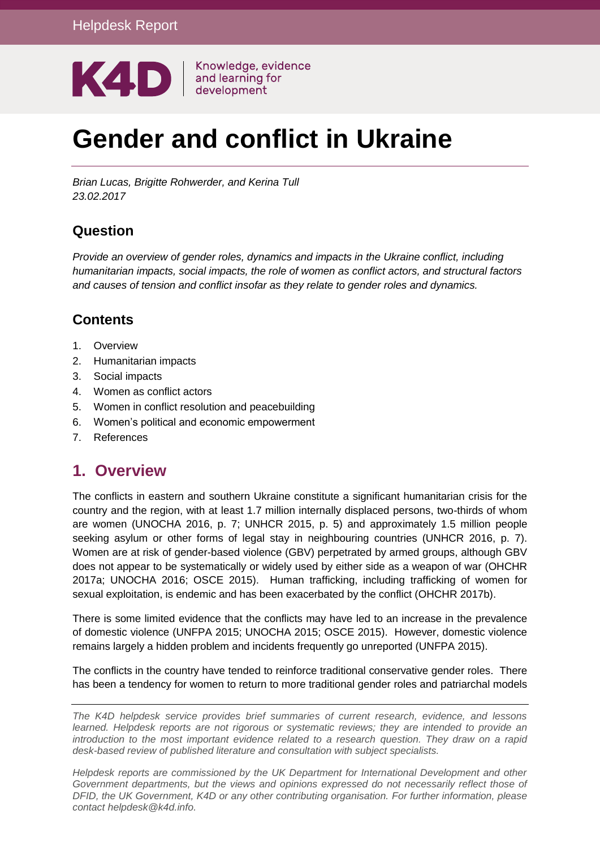

# **Gender and conflict in Ukraine**

*Brian Lucas, Brigitte Rohwerder, and Kerina Tull 23.02.2017*

#### **Question**

*Provide an overview of gender roles, dynamics and impacts in the Ukraine conflict, including humanitarian impacts, social impacts, the role of women as conflict actors, and structural factors and causes of tension and conflict insofar as they relate to gender roles and dynamics.*

#### **Contents**

- 1. [Overview](#page-0-0)
- 2. [Humanitarian impacts](#page-1-0)
- 3. [Social impacts](#page-5-0)
- 4. [Women as conflict actors](#page-7-0)
- 5. [Women in conflict resolution and peacebuilding](#page-9-0)
- 6. [Women's political and economic empowerment](#page-11-0)
- <span id="page-0-0"></span>7. [References](#page-13-0)

#### **1. Overview**

The conflicts in eastern and southern Ukraine constitute a significant humanitarian crisis for the country and the region, with at least 1.7 million internally displaced persons, two-thirds of whom are women (UNOCHA 2016, p. 7; UNHCR 2015, p. 5) and approximately 1.5 million people seeking asylum or other forms of legal stay in neighbouring countries (UNHCR 2016, p. 7). Women are at risk of gender-based violence (GBV) perpetrated by armed groups, although GBV does not appear to be systematically or widely used by either side as a weapon of war (OHCHR 2017a; UNOCHA 2016; OSCE 2015). Human trafficking, including trafficking of women for sexual exploitation, is endemic and has been exacerbated by the conflict (OHCHR 2017b).

There is some limited evidence that the conflicts may have led to an increase in the prevalence of domestic violence (UNFPA 2015; UNOCHA 2015; OSCE 2015). However, domestic violence remains largely a hidden problem and incidents frequently go unreported (UNFPA 2015).

The conflicts in the country have tended to reinforce traditional conservative gender roles. There has been a tendency for women to return to more traditional gender roles and patriarchal models

*The K4D helpdesk service provides brief summaries of current research, evidence, and lessons learned. Helpdesk reports are not rigorous or systematic reviews; they are intended to provide an introduction to the most important evidence related to a research question. They draw on a rapid desk-based review of published literature and consultation with subject specialists.* 

*Helpdesk reports are commissioned by the UK Department for International Development and other Government departments, but the views and opinions expressed do not necessarily reflect those of DFID, the UK Government, K4D or any other contributing organisation. For further information, please contact helpdesk@k4d.info.*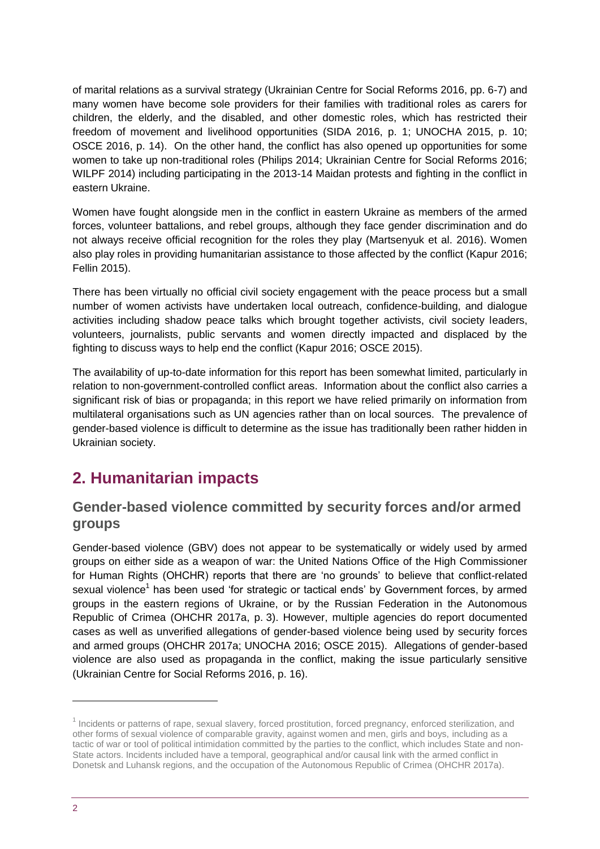of marital relations as a survival strategy (Ukrainian Centre for Social Reforms 2016, pp. 6-7) and many women have become sole providers for their families with traditional roles as carers for children, the elderly, and the disabled, and other domestic roles, which has restricted their freedom of movement and livelihood opportunities (SIDA 2016, p. 1; UNOCHA 2015, p. 10; OSCE 2016, p. 14). On the other hand, the conflict has also opened up opportunities for some women to take up non-traditional roles (Philips 2014; Ukrainian Centre for Social Reforms 2016; WILPF 2014) including participating in the 2013-14 Maidan protests and fighting in the conflict in eastern Ukraine.

Women have fought alongside men in the conflict in eastern Ukraine as members of the armed forces, volunteer battalions, and rebel groups, although they face gender discrimination and do not always receive official recognition for the roles they play (Martsenyuk et al. 2016). Women also play roles in providing humanitarian assistance to those affected by the conflict (Kapur 2016; Fellin 2015).

There has been virtually no official civil society engagement with the peace process but a small number of women activists have undertaken local outreach, confidence-building, and dialogue activities including shadow peace talks which brought together activists, civil society leaders, volunteers, journalists, public servants and women directly impacted and displaced by the fighting to discuss ways to help end the conflict (Kapur 2016; OSCE 2015).

The availability of up-to-date information for this report has been somewhat limited, particularly in relation to non-government-controlled conflict areas. Information about the conflict also carries a significant risk of bias or propaganda; in this report we have relied primarily on information from multilateral organisations such as UN agencies rather than on local sources. The prevalence of gender-based violence is difficult to determine as the issue has traditionally been rather hidden in Ukrainian society.

# <span id="page-1-0"></span>**2. Humanitarian impacts**

#### **Gender-based violence committed by security forces and/or armed groups**

Gender-based violence (GBV) does not appear to be systematically or widely used by armed groups on either side as a weapon of war: the United Nations Office of the High Commissioner for Human Rights (OHCHR) reports that there are 'no grounds' to believe that conflict-related sexual violence<sup>1</sup> has been used 'for strategic or tactical ends' by Government forces, by armed groups in the eastern regions of Ukraine, or by the Russian Federation in the Autonomous Republic of Crimea (OHCHR 2017a, p. 3). However, multiple agencies do report documented cases as well as unverified allegations of gender-based violence being used by security forces and armed groups (OHCHR 2017a; UNOCHA 2016; OSCE 2015). Allegations of gender-based violence are also used as propaganda in the conflict, making the issue particularly sensitive (Ukrainian Centre for Social Reforms 2016, p. 16).

-

<sup>&</sup>lt;sup>1</sup> Incidents or patterns of rape, sexual slavery, forced prostitution, forced pregnancy, enforced sterilization, and other forms of sexual violence of comparable gravity, against women and men, girls and boys, including as a tactic of war or tool of political intimidation committed by the parties to the conflict, which includes State and non-State actors. Incidents included have a temporal, geographical and/or causal link with the armed conflict in Donetsk and Luhansk regions, and the occupation of the Autonomous Republic of Crimea (OHCHR 2017a).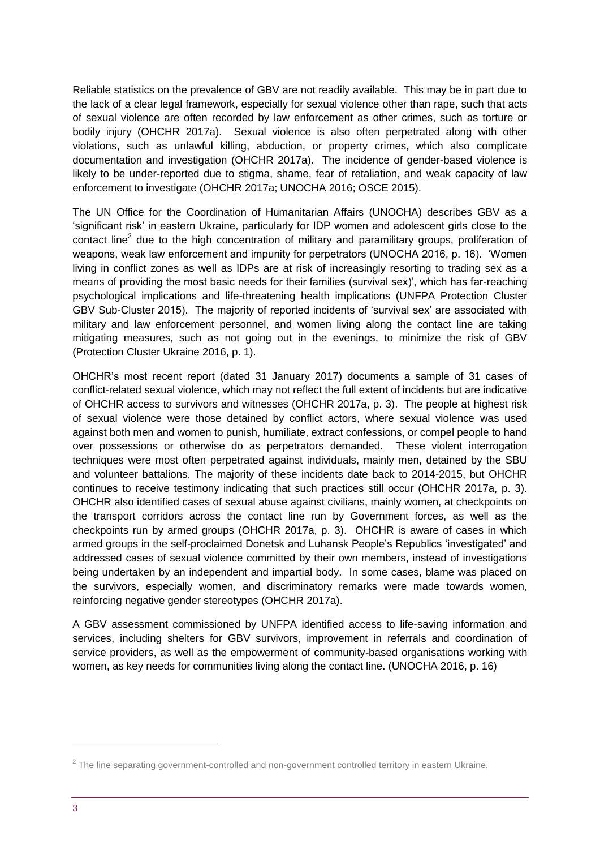Reliable statistics on the prevalence of GBV are not readily available. This may be in part due to the lack of a clear legal framework, especially for sexual violence other than rape, such that acts of sexual violence are often recorded by law enforcement as other crimes, such as torture or bodily injury (OHCHR 2017a). Sexual violence is also often perpetrated along with other violations, such as unlawful killing, abduction, or property crimes, which also complicate documentation and investigation (OHCHR 2017a). The incidence of gender-based violence is likely to be under-reported due to stigma, shame, fear of retaliation, and weak capacity of law enforcement to investigate (OHCHR 2017a; UNOCHA 2016; OSCE 2015).

The UN Office for the Coordination of Humanitarian Affairs (UNOCHA) describes GBV as a 'significant risk' in eastern Ukraine, particularly for IDP women and adolescent girls close to the contact line<sup>2</sup> due to the high concentration of military and paramilitary groups, proliferation of weapons, weak law enforcement and impunity for perpetrators (UNOCHA 2016, p. 16). 'Women living in conflict zones as well as IDPs are at risk of increasingly resorting to trading sex as a means of providing the most basic needs for their families (survival sex)', which has far-reaching psychological implications and life-threatening health implications (UNFPA Protection Cluster GBV Sub-Cluster 2015). The majority of reported incidents of 'survival sex' are associated with military and law enforcement personnel, and women living along the contact line are taking mitigating measures, such as not going out in the evenings, to minimize the risk of GBV (Protection Cluster Ukraine 2016, p. 1).

OHCHR's most recent report (dated 31 January 2017) documents a sample of 31 cases of conflict-related sexual violence, which may not reflect the full extent of incidents but are indicative of OHCHR access to survivors and witnesses (OHCHR 2017a, p. 3). The people at highest risk of sexual violence were those detained by conflict actors, where sexual violence was used against both men and women to punish, humiliate, extract confessions, or compel people to hand over possessions or otherwise do as perpetrators demanded. These violent interrogation techniques were most often perpetrated against individuals, mainly men, detained by the SBU and volunteer battalions. The majority of these incidents date back to 2014-2015, but OHCHR continues to receive testimony indicating that such practices still occur (OHCHR 2017a, p. 3). OHCHR also identified cases of sexual abuse against civilians, mainly women, at checkpoints on the transport corridors across the contact line run by Government forces, as well as the checkpoints run by armed groups (OHCHR 2017a, p. 3). OHCHR is aware of cases in which armed groups in the self-proclaimed Donetsk and Luhansk People's Republics 'investigated' and addressed cases of sexual violence committed by their own members, instead of investigations being undertaken by an independent and impartial body. In some cases, blame was placed on the survivors, especially women, and discriminatory remarks were made towards women, reinforcing negative gender stereotypes (OHCHR 2017a).

A GBV assessment commissioned by UNFPA identified access to life-saving information and services, including shelters for GBV survivors, improvement in referrals and coordination of service providers, as well as the empowerment of community-based organisations working with women, as key needs for communities living along the contact line. (UNOCHA 2016, p. 16)

1

 $2$  The line separating government-controlled and non-government controlled territory in eastern Ukraine.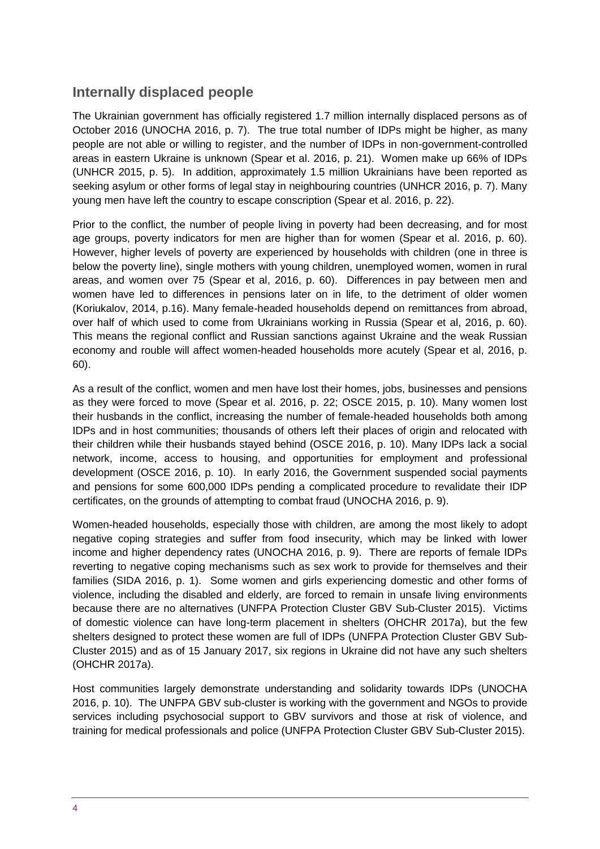#### **Internally displaced people**

The Ukrainian government has officially registered 1.7 million internally displaced persons as of October 2016 (UNOCHA 2016, p. 7). The true total number of IDPs might be higher, as many people are not able or willing to register, and the number of IDPs in non-government-controlled areas in eastern Ukraine is unknown (Spear et al. 2016, p. 21). Women make up 66% of IDPs (UNHCR 2015, p. 5). In addition, approximately 1.5 million Ukrainians have been reported as seeking asylum or other forms of legal stay in neighbouring countries (UNHCR 2016, p. 7). Many young men have left the country to escape conscription (Spear et al. 2016, p. 22).

Prior to the conflict, the number of people living in poverty had been decreasing, and for most age groups, poverty indicators for men are higher than for women (Spear et al. 2016, p. 60). However, higher levels of poverty are experienced by households with children (one in three is below the poverty line), single mothers with young children, unemployed women, women in rural areas, and women over 75 (Spear et al, 2016, p. 60). Differences in pay between men and women have led to differences in pensions later on in life, to the detriment of older women (Koriukalov, 2014, p.16). Many female-headed households depend on remittances from abroad, over half of which used to come from Ukrainians working in Russia (Spear et al, 2016, p. 60). This means the regional conflict and Russian sanctions against Ukraine and the weak Russian economy and rouble will affect women-headed households more acutely (Spear et al, 2016, p. 60).

As a result of the conflict, women and men have lost their homes, jobs, businesses and pensions as they were forced to move (Spear et al. 2016, p. 22; OSCE 2015, p. 10). Many women lost their husbands in the conflict, increasing the number of female-headed households both among IDPs and in host communities; thousands of others left their places of origin and relocated with their children while their husbands stayed behind (OSCE 2016, p. 10). Many IDPs lack a social network, income, access to housing, and opportunities for employment and professional development (OSCE 2016, p. 10). In early 2016, the Government suspended social payments and pensions for some 600,000 IDPs pending a complicated procedure to revalidate their IDP certificates, on the grounds of attempting to combat fraud (UNOCHA 2016, p. 9).

Women-headed households, especially those with children, are among the most likely to adopt negative coping strategies and suffer from food insecurity, which may be linked with lower income and higher dependency rates (UNOCHA 2016, p. 9). There are reports of female IDPs reverting to negative coping mechanisms such as sex work to provide for themselves and their families (SIDA 2016, p. 1). Some women and girls experiencing domestic and other forms of violence, including the disabled and elderly, are forced to remain in unsafe living environments because there are no alternatives (UNFPA Protection Cluster GBV Sub-Cluster 2015).Victims of domestic violence can have long-term placement in shelters (OHCHR 2017a), but the few shelters designed to protect these women are full of IDPs (UNFPA Protection Cluster GBV Sub-Cluster 2015) and as of 15 January 2017, six regions in Ukraine did not have any such shelters (OHCHR 2017a).

Host communities largely demonstrate understanding and solidarity towards IDPs (UNOCHA 2016, p. 10). The UNFPA GBV sub-cluster is working with the government and NGOs to provide services including psychosocial support to GBV survivors and those at risk of violence, and training for medical professionals and police (UNFPA Protection Cluster GBV Sub-Cluster 2015).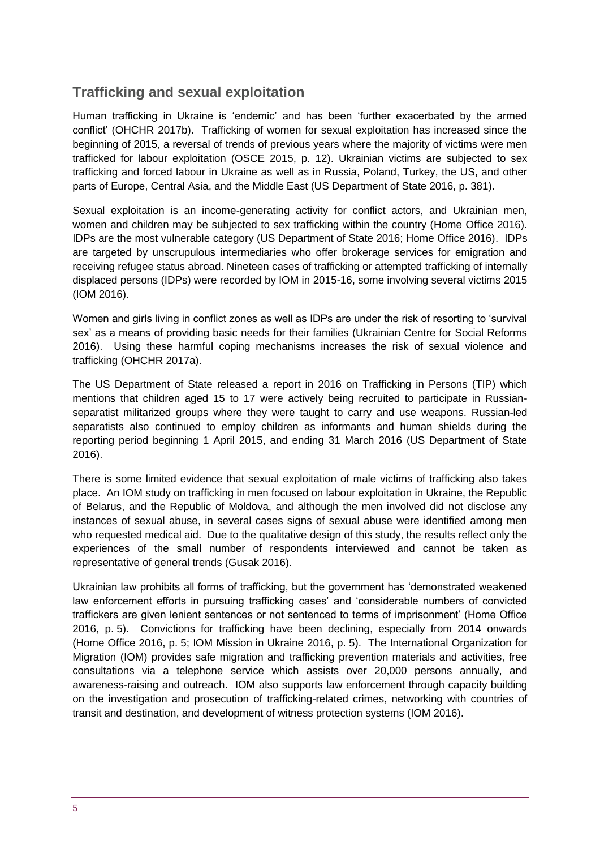#### **Trafficking and sexual exploitation**

Human trafficking in Ukraine is 'endemic' and has been 'further exacerbated by the armed conflict' (OHCHR 2017b). Trafficking of women for sexual exploitation has increased since the beginning of 2015, a reversal of trends of previous years where the majority of victims were men trafficked for labour exploitation (OSCE 2015, p. 12). Ukrainian victims are subjected to sex trafficking and forced labour in Ukraine as well as in Russia, Poland, Turkey, the US, and other parts of Europe, Central Asia, and the Middle East (US Department of State 2016, p. 381).

Sexual exploitation is an income-generating activity for conflict actors, and Ukrainian men, women and children may be subjected to sex trafficking within the country (Home Office 2016). IDPs are the most vulnerable category (US Department of State 2016; Home Office 2016). IDPs are targeted by unscrupulous intermediaries who offer brokerage services for emigration and receiving refugee status abroad. Nineteen cases of trafficking or attempted trafficking of internally displaced persons (IDPs) were recorded by IOM in 2015-16, some involving several victims 2015 (IOM 2016).

Women and girls living in conflict zones as well as IDPs are under the risk of resorting to 'survival sex' as a means of providing basic needs for their families (Ukrainian Centre for Social Reforms 2016). Using these harmful coping mechanisms increases the risk of sexual violence and trafficking (OHCHR 2017a).

The US Department of State released a [report i](http://www.state.gov/documents/organization/258876.pdf)n 2016 on Trafficking in Persons (TIP) which mentions that children aged 15 to 17 were actively being recruited to participate in Russianseparatist militarized groups where they were taught to carry and use weapons. Russian-led separatists also continued to employ children as informants and human shields during the reporting period beginning 1 April 2015, and ending 31 March 2016 (US Department of State 2016).

There is some limited evidence that sexual exploitation of male victims of trafficking also takes place. An IOM study on trafficking in men focused on labour exploitation in Ukraine, the Republic of Belarus, and the Republic of Moldova, and although the men involved did not disclose any instances of sexual abuse, in several cases signs of sexual abuse were identified among men who requested medical aid. Due to the qualitative design of this study, the results reflect only the experiences of the small number of respondents interviewed and cannot be taken as representative of general trends (Gusak 2016).

Ukrainian law prohibits all forms of trafficking, but the government has 'demonstrated weakened law enforcement efforts in pursuing trafficking cases' and 'considerable numbers of convicted traffickers are given lenient sentences or not sentenced to terms of imprisonment' (Home Office 2016, p. 5). Convictions for trafficking have been declining, especially from 2014 onwards (Home Office 2016, p. 5; IOM Mission in Ukraine 2016, p. 5). The International Organization for Migration (IOM) provides safe migration and trafficking prevention materials and activities, free consultations via a telephone service which assists over 20,000 persons annually, and awareness-raising and outreach. IOM also supports law enforcement through capacity building on the investigation and prosecution of trafficking-related crimes, networking with countries of transit and destination, and development of witness protection systems (IOM 2016).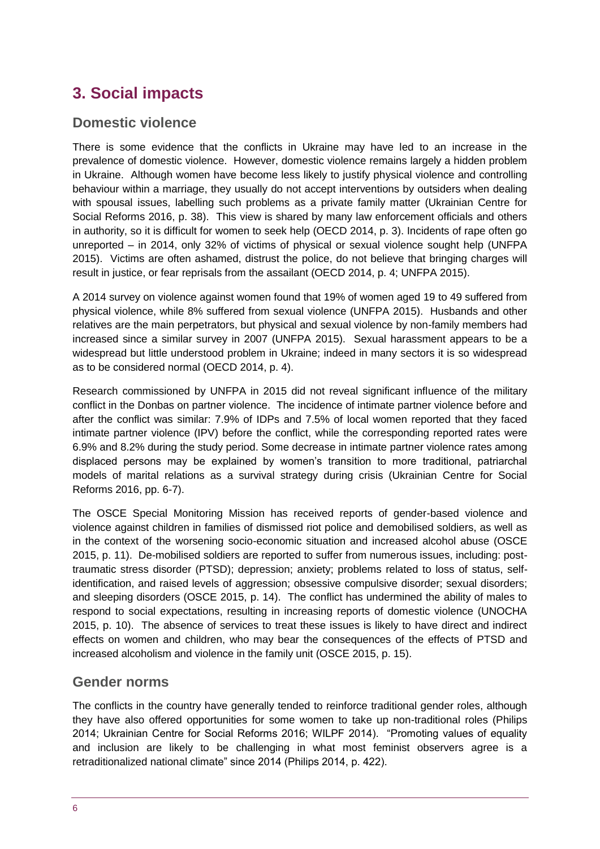# <span id="page-5-0"></span>**3. Social impacts**

#### **Domestic violence**

There is some evidence that the conflicts in Ukraine may have led to an increase in the prevalence of domestic violence. However, domestic violence remains largely a hidden problem in Ukraine. Although women have become less likely to justify physical violence and controlling behaviour within a marriage, they usually do not accept interventions by outsiders when dealing with spousal issues, labelling such problems as a private family matter (Ukrainian Centre for Social Reforms 2016, p. 38). This view is shared by many law enforcement officials and others in authority, so it is difficult for women to seek help (OECD 2014, p. 3). Incidents of rape often go unreported – in 2014, only 32% of victims of physical or sexual violence sought help (UNFPA 2015). Victims are often ashamed, distrust the police, do not believe that bringing charges will result in justice, or fear reprisals from the assailant (OECD 2014, p. 4; UNFPA 2015).

A 2014 survey on violence against women found that 19% of women aged 19 to 49 suffered from physical violence, while 8% suffered from sexual violence (UNFPA 2015). Husbands and other relatives are the main perpetrators, but physical and sexual violence by non-family members had increased since a similar survey in 2007 (UNFPA 2015). Sexual harassment appears to be a widespread but little understood problem in Ukraine; indeed in many sectors it is so widespread as to be considered normal (OECD 2014, p. 4).

Research commissioned by UNFPA in 2015 did not reveal significant influence of the military conflict in the Donbas on partner violence. The incidence of intimate partner violence before and after the conflict was similar: 7.9% of IDPs and 7.5% of local women reported that they faced intimate partner violence (IPV) before the conflict, while the corresponding reported rates were 6.9% and 8.2% during the study period. Some decrease in intimate partner violence rates among displaced persons may be explained by women's transition to more traditional, patriarchal models of marital relations as a survival strategy during crisis (Ukrainian Centre for Social Reforms 2016, pp. 6-7).

The OSCE Special Monitoring Mission has received reports of gender-based violence and violence against children in families of dismissed riot police and demobilised soldiers, as well as in the context of the worsening socio-economic situation and increased alcohol abuse (OSCE 2015, p. 11). De-mobilised soldiers are reported to suffer from numerous issues, including: posttraumatic stress disorder (PTSD); depression; anxiety; problems related to loss of status, selfidentification, and raised levels of aggression; obsessive compulsive disorder; sexual disorders; and sleeping disorders (OSCE 2015, p. 14). The conflict has undermined the ability of males to respond to social expectations, resulting in increasing reports of domestic violence (UNOCHA 2015, p. 10). The absence of services to treat these issues is likely to have direct and indirect effects on women and children, who may bear the consequences of the effects of PTSD and increased alcoholism and violence in the family unit (OSCE 2015, p. 15).

#### **Gender norms**

The conflicts in the country have generally tended to reinforce traditional gender roles, although they have also offered opportunities for some women to take up non-traditional roles (Philips 2014; Ukrainian Centre for Social Reforms 2016; WILPF 2014). "Promoting values of equality and inclusion are likely to be challenging in what most feminist observers agree is a retraditionalized national climate" since 2014 (Philips 2014, p. 422).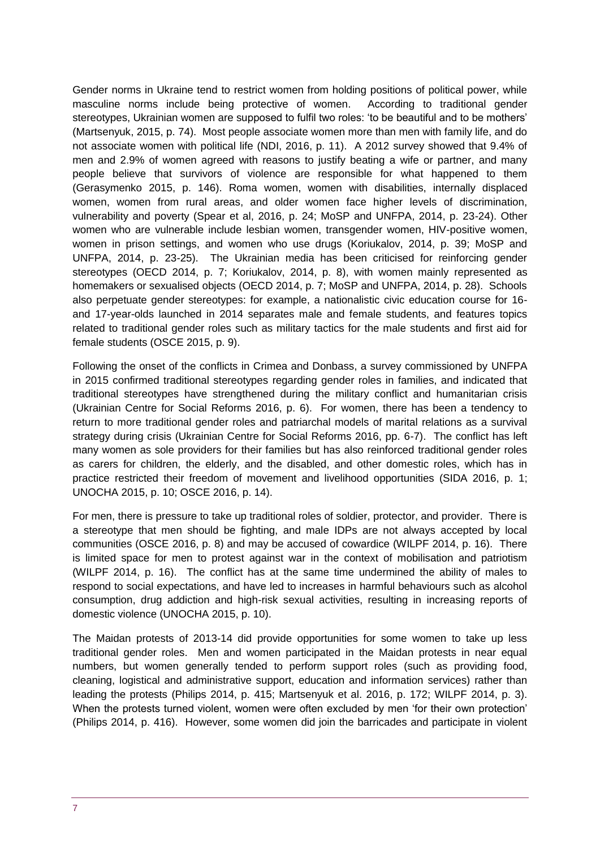Gender norms in Ukraine tend to restrict women from holding positions of political power, while masculine norms include being protective of women. According to traditional gender stereotypes, Ukrainian women are supposed to fulfil two roles: 'to be beautiful and to be mothers' (Martsenyuk, 2015, p. 74). Most people associate women more than men with family life, and do not associate women with political life (NDI, 2016, p. 11). A 2012 survey showed that 9.4% of men and 2.9% of women agreed with reasons to justify beating a wife or partner, and many people believe that survivors of violence are responsible for what happened to them (Gerasymenko 2015, p. 146). Roma women, women with disabilities, internally displaced women, women from rural areas, and older women face higher levels of discrimination, vulnerability and poverty (Spear et al, 2016, p. 24; MoSP and UNFPA, 2014, p. 23-24). Other women who are vulnerable include lesbian women, transgender women, HIV-positive women, women in prison settings, and women who use drugs (Koriukalov, 2014, p. 39; MoSP and UNFPA, 2014, p. 23-25). The Ukrainian media has been criticised for reinforcing gender stereotypes (OECD 2014, p. 7; Koriukalov, 2014, p. 8), with women mainly represented as homemakers or sexualised objects (OECD 2014, p. 7; MoSP and UNFPA, 2014, p. 28). Schools also perpetuate gender stereotypes: for example, a nationalistic civic education course for 16 and 17-year-olds launched in 2014 separates male and female students, and features topics related to traditional gender roles such as military tactics for the male students and first aid for female students (OSCE 2015, p. 9).

Following the onset of the conflicts in Crimea and Donbass, a survey commissioned by UNFPA in 2015 confirmed traditional stereotypes regarding gender roles in families, and indicated that traditional stereotypes have strengthened during the military conflict and humanitarian crisis (Ukrainian Centre for Social Reforms 2016, p. 6). For women, there has been a tendency to return to more traditional gender roles and patriarchal models of marital relations as a survival strategy during crisis (Ukrainian Centre for Social Reforms 2016, pp. 6-7). The conflict has left many women as sole providers for their families but has also reinforced traditional gender roles as carers for children, the elderly, and the disabled, and other domestic roles, which has in practice restricted their freedom of movement and livelihood opportunities (SIDA 2016, p. 1; UNOCHA 2015, p. 10; OSCE 2016, p. 14).

For men, there is pressure to take up traditional roles of soldier, protector, and provider. There is a stereotype that men should be fighting, and male IDPs are not always accepted by local communities (OSCE 2016, p. 8) and may be accused of cowardice (WILPF 2014, p. 16). There is limited space for men to protest against war in the context of mobilisation and patriotism (WILPF 2014, p. 16). The conflict has at the same time undermined the ability of males to respond to social expectations, and have led to increases in harmful behaviours such as alcohol consumption, drug addiction and high-risk sexual activities, resulting in increasing reports of domestic violence (UNOCHA 2015, p. 10).

The Maidan protests of 2013-14 did provide opportunities for some women to take up less traditional gender roles. Men and women participated in the Maidan protests in near equal numbers, but women generally tended to perform support roles (such as providing food, cleaning, logistical and administrative support, education and information services) rather than leading the protests (Philips 2014, p. 415; Martsenyuk et al. 2016, p. 172; WILPF 2014, p. 3). When the protests turned violent, women were often excluded by men 'for their own protection' (Philips 2014, p. 416). However, some women did join the barricades and participate in violent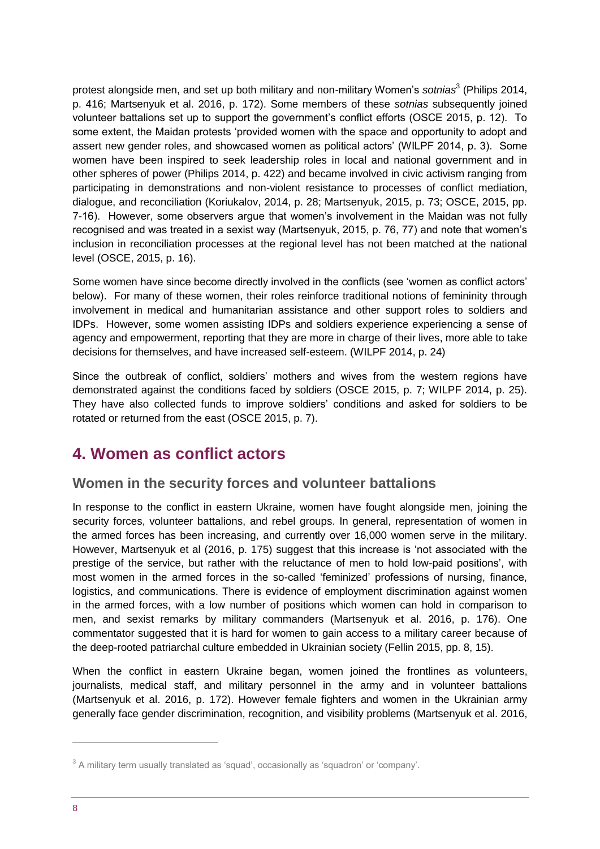protest alongside men, and set up both military and non-military Women's *sotnias*<sup>3</sup> (Philips 2014, p. 416; Martsenyuk et al. 2016, p. 172). Some members of these *sotnias* subsequently joined volunteer battalions set up to support the government's conflict efforts (OSCE 2015, p. 12). To some extent, the Maidan protests 'provided women with the space and opportunity to adopt and assert new gender roles, and showcased women as political actors' (WILPF 2014, p. 3). Some women have been inspired to seek leadership roles in local and national government and in other spheres of power (Philips 2014, p. 422) and became involved in civic activism ranging from participating in demonstrations and non-violent resistance to processes of conflict mediation, dialogue, and reconciliation (Koriukalov, 2014, p. 28; Martsenyuk, 2015, p. 73; OSCE, 2015, pp. 7-16). However, some observers argue that women's involvement in the Maidan was not fully recognised and was treated in a sexist way (Martsenyuk, 2015, p. 76, 77) and note that women's inclusion in reconciliation processes at the regional level has not been matched at the national level (OSCE, 2015, p. 16).

Some women have since become directly involved in the conflicts (see 'women as conflict actors' below). For many of these women, their roles reinforce traditional notions of femininity through involvement in medical and humanitarian assistance and other support roles to soldiers and IDPs. However, some women assisting IDPs and soldiers experience experiencing a sense of agency and empowerment, reporting that they are more in charge of their lives, more able to take decisions for themselves, and have increased self-esteem. (WILPF 2014, p. 24)

Since the outbreak of conflict, soldiers' mothers and wives from the western regions have demonstrated against the conditions faced by soldiers (OSCE 2015, p. 7; WILPF 2014, p. 25). They have also collected funds to improve soldiers' conditions and asked for soldiers to be rotated or returned from the east (OSCE 2015, p. 7).

## <span id="page-7-0"></span>**4. Women as conflict actors**

#### **Women in the security forces and volunteer battalions**

In response to the conflict in eastern Ukraine, women have fought alongside men, joining the security forces, volunteer battalions, and rebel groups. In general, representation of women in the armed forces has been increasing, and currently over 16,000 women serve in the military. However, Martsenyuk et al (2016, p. 175) suggest that this increase is 'not associated with the prestige of the service, but rather with the reluctance of men to hold low-paid positions', with most women in the armed forces in the so-called 'feminized' professions of nursing, finance, logistics, and communications. There is evidence of employment discrimination against women in the armed forces, with a low number of positions which women can hold in comparison to men, and sexist remarks by military commanders (Martsenyuk et al. 2016, p. 176). One commentator suggested that it is hard for women to gain access to a military career because of the deep-rooted patriarchal culture embedded in Ukrainian society (Fellin 2015, pp. 8, 15).

When the conflict in eastern Ukraine began, women joined the frontlines as volunteers, journalists, medical staff, and military personnel in the army and in volunteer battalions (Martsenyuk et al. 2016, p. 172). However female fighters and women in the Ukrainian army generally face gender discrimination, recognition, and visibility problems (Martsenyuk et al. 2016,

1

 $3$  A military term usually translated as 'squad', occasionally as 'squadron' or 'company'.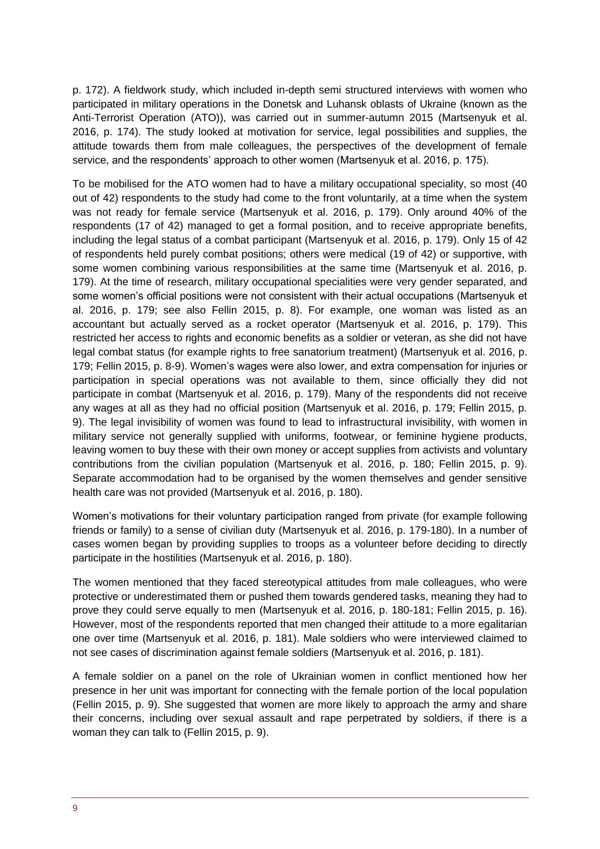p. 172). A fieldwork study, which included in-depth semi structured interviews with women who participated in military operations in the Donetsk and Luhansk oblasts of Ukraine (known as the Anti-Terrorist Operation (ATO)), was carried out in summer-autumn 2015 (Martsenyuk et al. 2016, p. 174). The study looked at motivation for service, legal possibilities and supplies, the attitude towards them from male colleagues, the perspectives of the development of female service, and the respondents' approach to other women (Martsenyuk et al. 2016, p. 175).

To be mobilised for the ATO women had to have a military occupational speciality, so most (40 out of 42) respondents to the study had come to the front voluntarily, at a time when the system was not ready for female service (Martsenyuk et al. 2016, p. 179). Only around 40% of the respondents (17 of 42) managed to get a formal position, and to receive appropriate benefits, including the legal status of a combat participant (Martsenyuk et al. 2016, p. 179). Only 15 of 42 of respondents held purely combat positions; others were medical (19 of 42) or supportive, with some women combining various responsibilities at the same time (Martsenyuk et al. 2016, p. 179). At the time of research, military occupational specialities were very gender separated, and some women's official positions were not consistent with their actual occupations (Martsenyuk et al. 2016, p. 179; see also Fellin 2015, p. 8). For example, one woman was listed as an accountant but actually served as a rocket operator (Martsenyuk et al. 2016, p. 179). This restricted her access to rights and economic benefits as a soldier or veteran, as she did not have legal combat status (for example rights to free sanatorium treatment) (Martsenyuk et al. 2016, p. 179; Fellin 2015, p. 8-9). Women's wages were also lower, and extra compensation for injuries or participation in special operations was not available to them, since officially they did not participate in combat (Martsenyuk et al. 2016, p. 179). Many of the respondents did not receive any wages at all as they had no official position (Martsenyuk et al. 2016, p. 179; Fellin 2015, p. 9). The legal invisibility of women was found to lead to infrastructural invisibility, with women in military service not generally supplied with uniforms, footwear, or feminine hygiene products, leaving women to buy these with their own money or accept supplies from activists and voluntary contributions from the civilian population (Martsenyuk et al. 2016, p. 180; Fellin 2015, p. 9). Separate accommodation had to be organised by the women themselves and gender sensitive health care was not provided (Martsenyuk et al. 2016, p. 180).

Women's motivations for their voluntary participation ranged from private (for example following friends or family) to a sense of civilian duty (Martsenyuk et al. 2016, p. 179-180). In a number of cases women began by providing supplies to troops as a volunteer before deciding to directly participate in the hostilities (Martsenyuk et al. 2016, p. 180).

The women mentioned that they faced stereotypical attitudes from male colleagues, who were protective or underestimated them or pushed them towards gendered tasks, meaning they had to prove they could serve equally to men (Martsenyuk et al. 2016, p. 180-181; Fellin 2015, p. 16). However, most of the respondents reported that men changed their attitude to a more egalitarian one over time (Martsenyuk et al. 2016, p. 181). Male soldiers who were interviewed claimed to not see cases of discrimination against female soldiers (Martsenyuk et al. 2016, p. 181).

A female soldier on a panel on the role of Ukrainian women in conflict mentioned how her presence in her unit was important for connecting with the female portion of the local population (Fellin 2015, p. 9). She suggested that women are more likely to approach the army and share their concerns, including over sexual assault and rape perpetrated by soldiers, if there is a woman they can talk to (Fellin 2015, p. 9).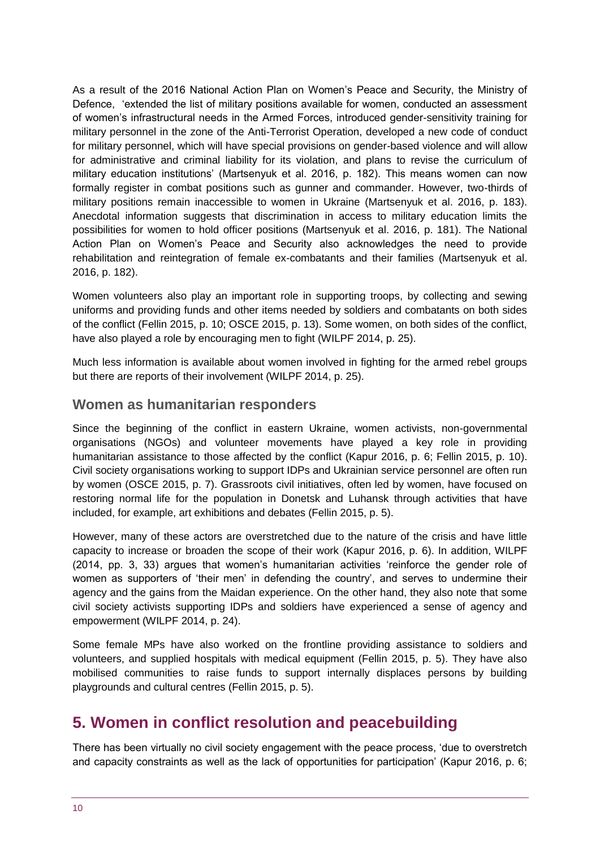As a result of the 2016 National Action Plan on Women's Peace and Security, the Ministry of Defence, 'extended the list of military positions available for women, conducted an assessment of women's infrastructural needs in the Armed Forces, introduced gender-sensitivity training for military personnel in the zone of the Anti-Terrorist Operation, developed a new code of conduct for military personnel, which will have special provisions on gender-based violence and will allow for administrative and criminal liability for its violation, and plans to revise the curriculum of military education institutions' (Martsenyuk et al. 2016, p. 182). This means women can now formally register in combat positions such as gunner and commander. However, two-thirds of military positions remain inaccessible to women in Ukraine (Martsenyuk et al. 2016, p. 183). Anecdotal information suggests that discrimination in access to military education limits the possibilities for women to hold officer positions (Martsenyuk et al. 2016, p. 181). The National Action Plan on Women's Peace and Security also acknowledges the need to provide rehabilitation and reintegration of female ex-combatants and their families (Martsenyuk et al. 2016, p. 182).

Women volunteers also play an important role in supporting troops, by collecting and sewing uniforms and providing funds and other items needed by soldiers and combatants on both sides of the conflict (Fellin 2015, p. 10; OSCE 2015, p. 13). Some women, on both sides of the conflict, have also played a role by encouraging men to fight (WILPF 2014, p. 25).

Much less information is available about women involved in fighting for the armed rebel groups but there are reports of their involvement (WILPF 2014, p. 25).

#### **Women as humanitarian responders**

Since the beginning of the conflict in eastern Ukraine, women activists, non-governmental organisations (NGOs) and volunteer movements have played a key role in providing humanitarian assistance to those affected by the conflict (Kapur 2016, p. 6; Fellin 2015, p. 10). Civil society organisations working to support IDPs and Ukrainian service personnel are often run by women (OSCE 2015, p. 7). Grassroots civil initiatives, often led by women, have focused on restoring normal life for the population in Donetsk and Luhansk through activities that have included, for example, art exhibitions and debates (Fellin 2015, p. 5).

However, many of these actors are overstretched due to the nature of the crisis and have little capacity to increase or broaden the scope of their work (Kapur 2016, p. 6). In addition, WILPF (2014, pp. 3, 33) argues that women's humanitarian activities 'reinforce the gender role of women as supporters of 'their men' in defending the country', and serves to undermine their agency and the gains from the Maidan experience. On the other hand, they also note that some civil society activists supporting IDPs and soldiers have experienced a sense of agency and empowerment (WILPF 2014, p. 24).

Some female MPs have also worked on the frontline providing assistance to soldiers and volunteers, and supplied hospitals with medical equipment (Fellin 2015, p. 5). They have also mobilised communities to raise funds to support internally displaces persons by building playgrounds and cultural centres (Fellin 2015, p. 5).

## <span id="page-9-0"></span>**5. Women in conflict resolution and peacebuilding**

There has been virtually no civil society engagement with the peace process, 'due to overstretch and capacity constraints as well as the lack of opportunities for participation' (Kapur 2016, p. 6;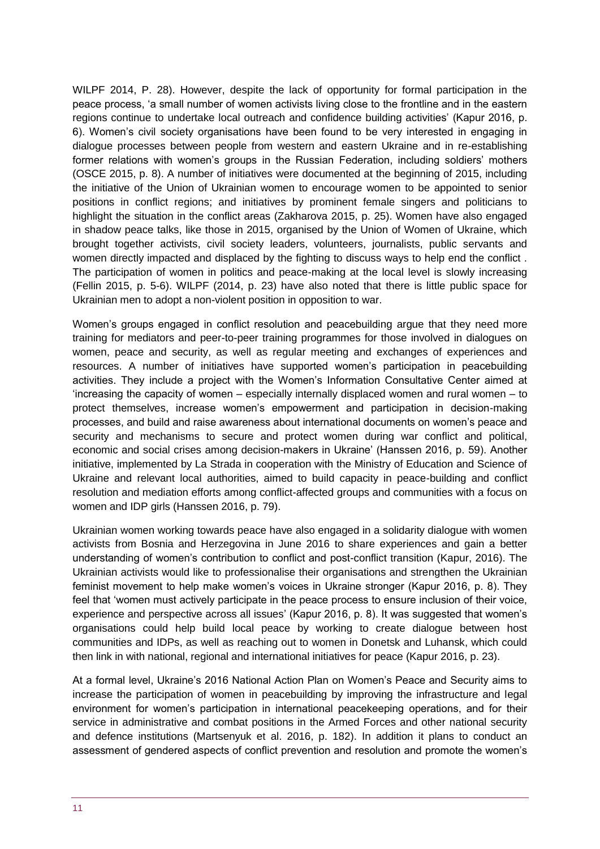WILPF 2014, P. 28). However, despite the lack of opportunity for formal participation in the peace process, 'a small number of women activists living close to the frontline and in the eastern regions continue to undertake local outreach and confidence building activities' (Kapur 2016, p. 6). Women's civil society organisations have been found to be very interested in engaging in dialogue processes between people from western and eastern Ukraine and in re-establishing former relations with women's groups in the Russian Federation, including soldiers' mothers (OSCE 2015, p. 8). A number of initiatives were documented at the beginning of 2015, including the initiative of the Union of Ukrainian women to encourage women to be appointed to senior positions in conflict regions; and initiatives by prominent female singers and politicians to highlight the situation in the conflict areas (Zakharova 2015, p. 25). Women have also engaged in shadow peace talks, like those in 2015, organised by the Union of Women of Ukraine, which brought together activists, civil society leaders, volunteers, journalists, public servants and women directly impacted and displaced by the fighting to discuss ways to help end the conflict . The participation of women in politics and peace-making at the local level is slowly increasing (Fellin 2015, p. 5-6). WILPF (2014, p. 23) have also noted that there is little public space for Ukrainian men to adopt a non-violent position in opposition to war.

Women's groups engaged in conflict resolution and peacebuilding argue that they need more training for mediators and peer-to-peer training programmes for those involved in dialogues on women, peace and security, as well as regular meeting and exchanges of experiences and resources. A number of initiatives have supported women's participation in peacebuilding activities. They include a project with the Women's Information Consultative Center aimed at 'increasing the capacity of women – especially internally displaced women and rural women – to protect themselves, increase women's empowerment and participation in decision-making processes, and build and raise awareness about international documents on women's peace and security and mechanisms to secure and protect women during war conflict and political, economic and social crises among decision-makers in Ukraine' (Hanssen 2016, p. 59). Another initiative, implemented by La Strada in cooperation with the Ministry of Education and Science of Ukraine and relevant local authorities, aimed to build capacity in peace-building and conflict resolution and mediation efforts among conflict-affected groups and communities with a focus on women and IDP girls (Hanssen 2016, p. 79).

Ukrainian women working towards peace have also engaged in a solidarity dialogue with women activists from Bosnia and Herzegovina in June 2016 to share experiences and gain a better understanding of women's contribution to conflict and post-conflict transition (Kapur, 2016). The Ukrainian activists would like to professionalise their organisations and strengthen the Ukrainian feminist movement to help make women's voices in Ukraine stronger (Kapur 2016, p. 8). They feel that 'women must actively participate in the peace process to ensure inclusion of their voice, experience and perspective across all issues' (Kapur 2016, p. 8). It was suggested that women's organisations could help build local peace by working to create dialogue between host communities and IDPs, as well as reaching out to women in Donetsk and Luhansk, which could then link in with national, regional and international initiatives for peace (Kapur 2016, p. 23).

At a formal level, Ukraine's 2016 National Action Plan on Women's Peace and Security aims to increase the participation of women in peacebuilding by improving the infrastructure and legal environment for women's participation in international peacekeeping operations, and for their service in administrative and combat positions in the Armed Forces and other national security and defence institutions (Martsenyuk et al. 2016, p. 182). In addition it plans to conduct an assessment of gendered aspects of conflict prevention and resolution and promote the women's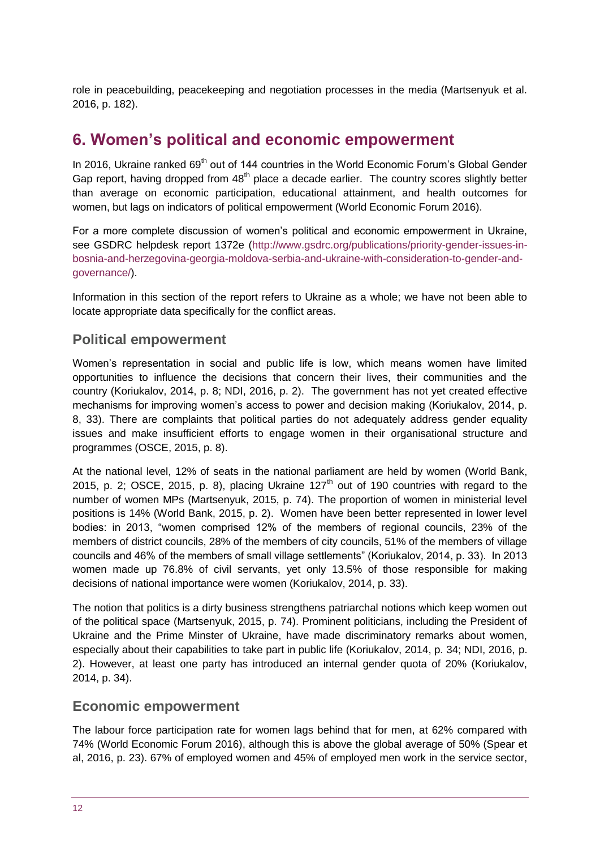role in peacebuilding, peacekeeping and negotiation processes in the media (Martsenyuk et al. 2016, p. 182).

### <span id="page-11-0"></span>**6. Women's political and economic empowerment**

In 2016, Ukraine ranked  $69<sup>th</sup>$  out of 144 countries in the World Economic Forum's Global Gender Gap report, having dropped from  $48<sup>th</sup>$  place a decade earlier. The country scores slightly better than average on economic participation, educational attainment, and health outcomes for women, but lags on indicators of political empowerment (World Economic Forum 2016).

For a more complete discussion of women's political and economic empowerment in Ukraine, see GSDRC helpdesk report 1372e [\(http://www.gsdrc.org/publications/priority-gender-issues-in](http://www.gsdrc.org/publications/priority-gender-issues-in-bosnia-and-herzegovina-georgia-moldova-serbia-and-ukraine-with-consideration-to-gender-and-governance/)[bosnia-and-herzegovina-georgia-moldova-serbia-and-ukraine-with-consideration-to-gender-and](http://www.gsdrc.org/publications/priority-gender-issues-in-bosnia-and-herzegovina-georgia-moldova-serbia-and-ukraine-with-consideration-to-gender-and-governance/)[governance/\)](http://www.gsdrc.org/publications/priority-gender-issues-in-bosnia-and-herzegovina-georgia-moldova-serbia-and-ukraine-with-consideration-to-gender-and-governance/).

Information in this section of the report refers to Ukraine as a whole; we have not been able to locate appropriate data specifically for the conflict areas.

#### **Political empowerment**

Women's representation in social and public life is low, which means women have limited opportunities to influence the decisions that concern their lives, their communities and the country (Koriukalov, 2014, p. 8; NDI, 2016, p. 2). The government has not yet created effective mechanisms for improving women's access to power and decision making (Koriukalov, 2014, p. 8, 33). There are complaints that political parties do not adequately address gender equality issues and make insufficient efforts to engage women in their organisational structure and programmes (OSCE, 2015, p. 8).

At the national level, 12% of seats in the national parliament are held by women (World Bank, 2015, p. 2; OSCE, 2015, p. 8), placing Ukraine  $127<sup>th</sup>$  out of 190 countries with regard to the number of women MPs (Martsenyuk, 2015, p. 74). The proportion of women in ministerial level positions is 14% (World Bank, 2015, p. 2). Women have been better represented in lower level bodies: in 2013, "women comprised 12% of the members of regional councils, 23% of the members of district councils, 28% of the members of city councils, 51% of the members of village councils and 46% of the members of small village settlements" (Koriukalov, 2014, p. 33). In 2013 women made up 76.8% of civil servants, yet only 13.5% of those responsible for making decisions of national importance were women (Koriukalov, 2014, p. 33).

The notion that politics is a dirty business strengthens patriarchal notions which keep women out of the political space (Martsenyuk, 2015, p. 74). Prominent politicians, including the President of Ukraine and the Prime Minster of Ukraine, have made discriminatory remarks about women, especially about their capabilities to take part in public life (Koriukalov, 2014, p. 34; NDI, 2016, p. 2). However, at least one party has introduced an internal gender quota of 20% (Koriukalov, 2014, p. 34).

#### **Economic empowerment**

The labour force participation rate for women lags behind that for men, at 62% compared with 74% (World Economic Forum 2016), although this is above the global average of 50% (Spear et al, 2016, p. 23). 67% of employed women and 45% of employed men work in the service sector,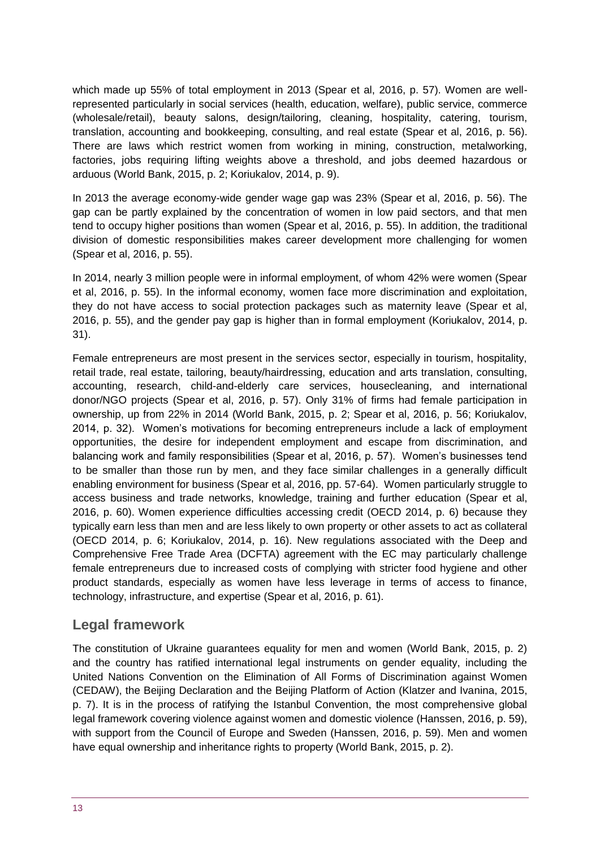which made up 55% of total employment in 2013 (Spear et al, 2016, p. 57). Women are wellrepresented particularly in social services (health, education, welfare), public service, commerce (wholesale/retail), beauty salons, design/tailoring, cleaning, hospitality, catering, tourism, translation, accounting and bookkeeping, consulting, and real estate (Spear et al, 2016, p. 56). There are laws which restrict women from working in mining, construction, metalworking, factories, jobs requiring lifting weights above a threshold, and jobs deemed hazardous or arduous (World Bank, 2015, p. 2; Koriukalov, 2014, p. 9).

In 2013 the average economy-wide gender wage gap was 23% (Spear et al, 2016, p. 56). The gap can be partly explained by the concentration of women in low paid sectors, and that men tend to occupy higher positions than women (Spear et al, 2016, p. 55). In addition, the traditional division of domestic responsibilities makes career development more challenging for women (Spear et al, 2016, p. 55).

In 2014, nearly 3 million people were in informal employment, of whom 42% were women (Spear et al, 2016, p. 55). In the informal economy, women face more discrimination and exploitation, they do not have access to social protection packages such as maternity leave (Spear et al, 2016, p. 55), and the gender pay gap is higher than in formal employment (Koriukalov, 2014, p. 31).

Female entrepreneurs are most present in the services sector, especially in tourism, hospitality, retail trade, real estate, tailoring, beauty/hairdressing, education and arts translation, consulting, accounting, research, child-and-elderly care services, housecleaning, and international donor/NGO projects (Spear et al, 2016, p. 57). Only 31% of firms had female participation in ownership, up from 22% in 2014 (World Bank, 2015, p. 2; Spear et al, 2016, p. 56; Koriukalov, 2014, p. 32). Women's motivations for becoming entrepreneurs include a lack of employment opportunities, the desire for independent employment and escape from discrimination, and balancing work and family responsibilities (Spear et al, 2016, p. 57). Women's businesses tend to be smaller than those run by men, and they face similar challenges in a generally difficult enabling environment for business (Spear et al, 2016, pp. 57-64). Women particularly struggle to access business and trade networks, knowledge, training and further education (Spear et al, 2016, p. 60). Women experience difficulties accessing credit (OECD 2014, p. 6) because they typically earn less than men and are less likely to own property or other assets to act as collateral (OECD 2014, p. 6; Koriukalov, 2014, p. 16). New regulations associated with the Deep and Comprehensive Free Trade Area (DCFTA) agreement with the EC may particularly challenge female entrepreneurs due to increased costs of complying with stricter food hygiene and other product standards, especially as women have less leverage in terms of access to finance, technology, infrastructure, and expertise (Spear et al, 2016, p. 61).

#### **Legal framework**

The constitution of Ukraine guarantees equality for men and women (World Bank, 2015, p. 2) and the country has ratified international legal instruments on gender equality, including the United Nations Convention on the Elimination of All Forms of Discrimination against Women (CEDAW), the Beijing Declaration and the Beijing Platform of Action (Klatzer and Ivanina, 2015, p. 7). It is in the process of ratifying the Istanbul Convention, the most comprehensive global legal framework covering violence against women and domestic violence (Hanssen, 2016, p. 59), with support from the Council of Europe and Sweden (Hanssen, 2016, p. 59). Men and women have equal ownership and inheritance rights to property (World Bank, 2015, p. 2).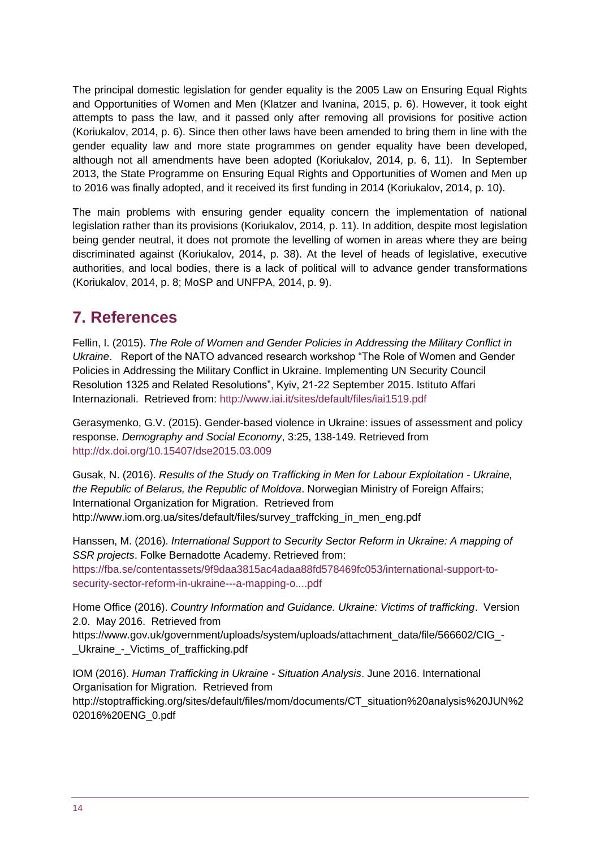The principal domestic legislation for gender equality is the 2005 Law on Ensuring Equal Rights and Opportunities of Women and Men (Klatzer and Ivanina, 2015, p. 6). However, it took eight attempts to pass the law, and it passed only after removing all provisions for positive action (Koriukalov, 2014, p. 6). Since then other laws have been amended to bring them in line with the gender equality law and more state programmes on gender equality have been developed, although not all amendments have been adopted (Koriukalov, 2014, p. 6, 11). In September 2013, the State Programme on Ensuring Equal Rights and Opportunities of Women and Men up to 2016 was finally adopted, and it received its first funding in 2014 (Koriukalov, 2014, p. 10).

The main problems with ensuring gender equality concern the implementation of national legislation rather than its provisions (Koriukalov, 2014, p. 11). In addition, despite most legislation being gender neutral, it does not promote the levelling of women in areas where they are being discriminated against (Koriukalov, 2014, p. 38). At the level of heads of legislative, executive authorities, and local bodies, there is a lack of political will to advance gender transformations (Koriukalov, 2014, p. 8; MoSP and UNFPA, 2014, p. 9).

# <span id="page-13-0"></span>**7. References**

Fellin, I. (2015). *The Role of Women and Gender Policies in Addressing the Military Conflict in Ukraine*. Report of the NATO advanced research workshop "The Role of Women and Gender Policies in Addressing the Military Conflict in Ukraine. Implementing UN Security Council Resolution 1325 and Related Resolutions", Kyiv, 21-22 September 2015. Istituto Affari Internazionali. Retrieved from:<http://www.iai.it/sites/default/files/iai1519.pdf>

Gerasymenko, G.V. (2015). Gender-based violence in Ukraine: issues of assessment and policy response. *Demography and Social Economy*, 3:25, 138-149. Retrieved from <http://dx.doi.org/10.15407/dse2015.03.009>

Gusak, N. (2016). *Results of the Study on Trafficking in Men for Labour Exploitation - Ukraine, the Republic of Belarus, the Republic of Moldova*. Norwegian Ministry of Foreign Affairs; International Organization for Migration. Retrieved from http://www.iom.org.ua/sites/default/files/survey\_traffcking\_in\_men\_eng.pdf

Hanssen, M. (2016). *International Support to Security Sector Reform in Ukraine: A mapping of SSR projects*. Folke Bernadotte Academy. Retrieved from: [https://fba.se/contentassets/9f9daa3815ac4adaa88fd578469fc053/international-support-to](https://fba.se/contentassets/9f9daa3815ac4adaa88fd578469fc053/international-support-to-security-sector-reform-in-ukraine---a-mapping-o....pdf)[security-sector-reform-in-ukraine---a-mapping-o....pdf](https://fba.se/contentassets/9f9daa3815ac4adaa88fd578469fc053/international-support-to-security-sector-reform-in-ukraine---a-mapping-o....pdf)

Home Office (2016). *Country Information and Guidance. Ukraine: Victims of trafficking*. Version 2.0. May 2016. Retrieved from https://www.gov.uk/government/uploads/system/uploads/attachment\_data/file/566602/CIG\_-

Ukraine - Victims of trafficking.pdf

IOM (2016). *Human Trafficking in Ukraine - Situation Analysis*. June 2016. International Organisation for Migration. Retrieved from http://stoptrafficking.org/sites/default/files/mom/documents/CT\_situation%20analysis%20JUN%2 02016%20ENG\_0.pdf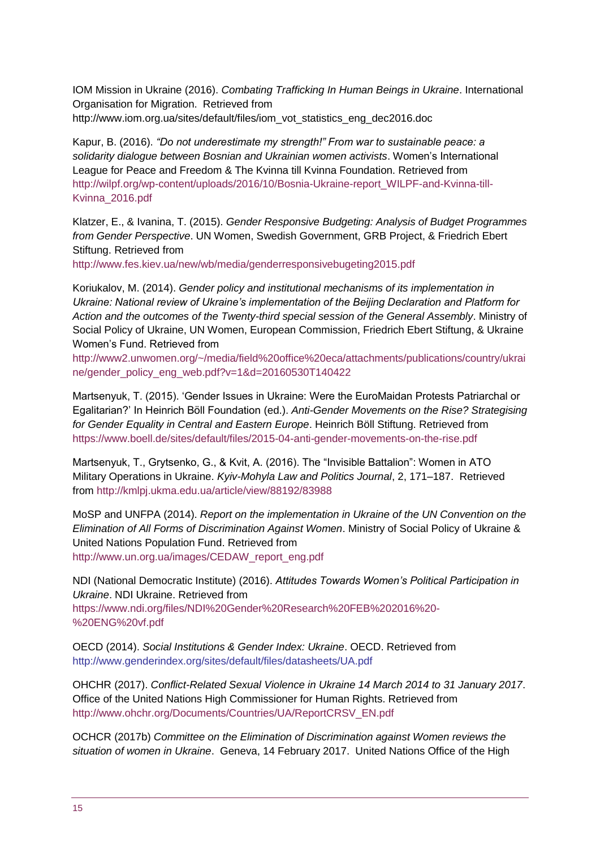IOM Mission in Ukraine (2016). *Combating Trafficking In Human Beings in Ukraine*. International Organisation for Migration. Retrieved from http://www.iom.org.ua/sites/default/files/iom\_vot\_statistics\_eng\_dec2016.doc

Kapur, B. (2016). *"Do not underestimate my strength!" From war to sustainable peace: a solidarity dialogue between Bosnian and Ukrainian women activists*. Women's International League for Peace and Freedom & The Kvinna till Kvinna Foundation. Retrieved from [http://wilpf.org/wp-content/uploads/2016/10/Bosnia-Ukraine-report\\_WILPF-and-Kvinna-till-](http://wilpf.org/wp-content/uploads/2016/10/Bosnia-Ukraine-report_WILPF-and-Kvinna-till-Kvinna_2016.pdf)[Kvinna\\_2016.pdf](http://wilpf.org/wp-content/uploads/2016/10/Bosnia-Ukraine-report_WILPF-and-Kvinna-till-Kvinna_2016.pdf)

Klatzer, E., & Ivanina, T. (2015). *Gender Responsive Budgeting: Analysis of Budget Programmes from Gender Perspective*. UN Women, Swedish Government, GRB Project, & Friedrich Ebert Stiftung. Retrieved from

<http://www.fes.kiev.ua/new/wb/media/genderresponsivebugeting2015.pdf>

Koriukalov, M. (2014). *Gender policy and institutional mechanisms of its implementation in Ukraine: National review of Ukraine's implementation of the Beijing Declaration and Platform for Action and the outcomes of the Twenty-third special session of the General Assembly*. Ministry of Social Policy of Ukraine, UN Women, European Commission, Friedrich Ebert Stiftung, & Ukraine Women's Fund. Retrieved from

[http://www2.unwomen.org/~/media/field%20office%20eca/attachments/publications/country/ukrai](http://www2.unwomen.org/~/media/field%20office%20eca/attachments/publications/country/ukraine/gender_policy_eng_web.pdf?v=1&d=20160530T140422) [ne/gender\\_policy\\_eng\\_web.pdf?v=1&d=20160530T140422](http://www2.unwomen.org/~/media/field%20office%20eca/attachments/publications/country/ukraine/gender_policy_eng_web.pdf?v=1&d=20160530T140422)

Martsenyuk, T. (2015). 'Gender Issues in Ukraine: Were the EuroMaidan Protests Patriarchal or Egalitarian?' In Heinrich Böll Foundation (ed.). *Anti-Gender Movements on the Rise? Strategising for Gender Equality in Central and Eastern Europe*. Heinrich Böll Stiftung. Retrieved from <https://www.boell.de/sites/default/files/2015-04-anti-gender-movements-on-the-rise.pdf>

Martsenyuk, T., Grytsenko, G., & Kvit, A. (2016). The "Invisible Battalion": Women in ATO Military Operations in Ukraine. *Kyiv-Mohyla Law and Politics Journal*, 2, 171–187. Retrieved from <http://kmlpj.ukma.edu.ua/article/view/88192/83988>

MoSP and UNFPA (2014). *Report on the implementation in Ukraine of the UN Convention on the Elimination of All Forms of Discrimination Against Women*. Ministry of Social Policy of Ukraine & United Nations Population Fund. Retrieved from [http://www.un.org.ua/images/CEDAW\\_report\\_eng.pdf](http://www.un.org.ua/images/CEDAW_report_eng.pdf)

NDI (National Democratic Institute) (2016). *Attitudes Towards Women's Political Participation in Ukraine*. NDI Ukraine. Retrieved from

[https://www.ndi.org/files/NDI%20Gender%20Research%20FEB%202016%20-](https://www.ndi.org/files/NDI%20Gender%20Research%20FEB%202016%20-%20ENG%20vf.pdf) [%20ENG%20vf.pdf](https://www.ndi.org/files/NDI%20Gender%20Research%20FEB%202016%20-%20ENG%20vf.pdf)

OECD (2014). *Social Institutions & Gender Index: Ukraine*. OECD. Retrieved from <http://www.genderindex.org/sites/default/files/datasheets/UA.pdf>

OHCHR (2017). *Conflict-Related Sexual Violence in Ukraine 14 March 2014 to 31 January 2017*. Office of the United Nations High Commissioner for Human Rights. Retrieved from [http://www.ohchr.org/Documents/Countries/UA/ReportCRSV\\_EN.pdf](http://www.ohchr.org/Documents/Countries/UA/ReportCRSV_EN.pdf)

OCHCR (2017b) *Committee on the Elimination of Discrimination against Women reviews the situation of women in Ukraine*. Geneva, 14 February 2017. United Nations Office of the High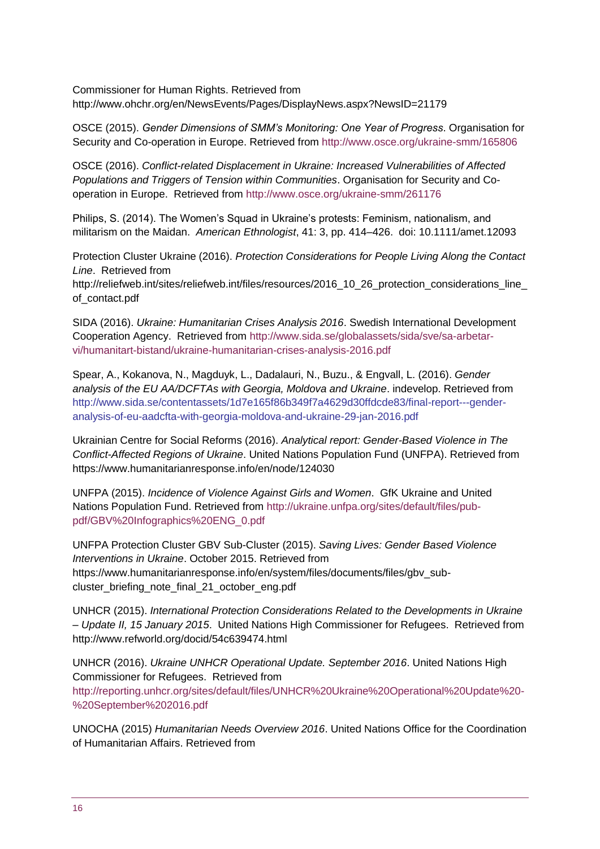Commissioner for Human Rights. Retrieved from http://www.ohchr.org/en/NewsEvents/Pages/DisplayNews.aspx?NewsID=21179

OSCE (2015). *Gender Dimensions of SMM's Monitoring: One Year of Progress*. Organisation for Security and Co-operation in Europe. Retrieved from [http://www.osce.org/ukraine-smm/165806](http://www.osce.org/ukraine-smm/165806?download=true)

OSCE (2016). *Conflict-related Displacement in Ukraine: Increased Vulnerabilities of Affected Populations and Triggers of Tension within Communities*. Organisation for Security and Cooperation in Europe. Retrieved from<http://www.osce.org/ukraine-smm/261176>

Philips, S. (2014). The Women's Squad in Ukraine's protests: Feminism, nationalism, and militarism on the Maidan. *American Ethnologist*, 41: 3, pp. 414–426. doi: 10.1111/amet.12093

Protection Cluster Ukraine (2016). *Protection Considerations for People Living Along the Contact Line*. Retrieved from

http://reliefweb.int/sites/reliefweb.int/files/resources/2016\_10\_26\_protection\_considerations\_line\_ of\_contact.pdf

SIDA (2016). *Ukraine: Humanitarian Crises Analysis 2016*. Swedish International Development Cooperation Agency. Retrieved from [http://www.sida.se/globalassets/sida/sve/sa-arbetar](http://www.sida.se/globalassets/sida/sve/sa-arbetar-vi/humanitart-bistand/ukraine-humanitarian-crises-analysis-2016.pdf)[vi/humanitart-bistand/ukraine-humanitarian-crises-analysis-2016.pdf](http://www.sida.se/globalassets/sida/sve/sa-arbetar-vi/humanitart-bistand/ukraine-humanitarian-crises-analysis-2016.pdf)

Spear, A., Kokanova, N., Magduyk, L., Dadalauri, N., Buzu., & Engvall, L. (2016). *Gender analysis of the EU AA/DCFTAs with Georgia, Moldova and Ukraine*. indevelop. Retrieved from [http://www.sida.se/contentassets/1d7e165f86b349f7a4629d30ffdcde83/final-report---gender](http://www.sida.se/contentassets/1d7e165f86b349f7a4629d30ffdcde83/final-report---gender-analysis-of-eu-aadcfta-with-georgia-moldova-and-ukraine-29-jan-2016.pdf)[analysis-of-eu-aadcfta-with-georgia-moldova-and-ukraine-29-jan-2016.pdf](http://www.sida.se/contentassets/1d7e165f86b349f7a4629d30ffdcde83/final-report---gender-analysis-of-eu-aadcfta-with-georgia-moldova-and-ukraine-29-jan-2016.pdf)

Ukrainian Centre for Social Reforms (2016). *Analytical report: Gender-Based Violence in The Conflict-Affected Regions of Ukraine*. United Nations Population Fund (UNFPA). Retrieved from https://www.humanitarianresponse.info/en/node/124030

UNFPA (2015). *Incidence of Violence Against Girls and Women*. GfK Ukraine and United Nations Population Fund. Retrieved from [http://ukraine.unfpa.org/sites/default/files/pub](http://ukraine.unfpa.org/sites/default/files/pub-pdf/GBV%20Infographics%20ENG_0.pdf)[pdf/GBV%20Infographics%20ENG\\_0.pdf](http://ukraine.unfpa.org/sites/default/files/pub-pdf/GBV%20Infographics%20ENG_0.pdf)

UNFPA Protection Cluster GBV Sub-Cluster (2015). *Saving Lives: Gender Based Violence Interventions in Ukraine*. October 2015. Retrieved from https://www.humanitarianresponse.info/en/system/files/documents/files/gbv\_subcluster\_briefing\_note\_final\_21\_october\_eng.pdf

UNHCR (2015). *International Protection Considerations Related to the Developments in Ukraine – Update II, 15 January 2015*. United Nations High Commissioner for Refugees. Retrieved from http://www.refworld.org/docid/54c639474.html

UNHCR (2016). *Ukraine UNHCR Operational Update. September 2016*. United Nations High Commissioner for Refugees. Retrieved from [http://reporting.unhcr.org/sites/default/files/UNHCR%20Ukraine%20Operational%20Update%20-](http://reporting.unhcr.org/sites/default/files/UNHCR%20Ukraine%20Operational%20Update%20-%20September%202016.pdf) [%20September%202016.pdf](http://reporting.unhcr.org/sites/default/files/UNHCR%20Ukraine%20Operational%20Update%20-%20September%202016.pdf)

UNOCHA (2015) *Humanitarian Needs Overview 2016*. United Nations Office for the Coordination of Humanitarian Affairs. Retrieved from